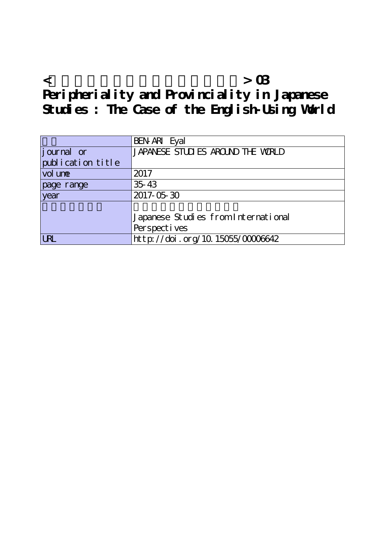**<グローバルな視野からの日本研究> 03 Peripheriality and Provinciality in Japanese Studies : The Case of the English-Using World**

|                   | BEN ARI Eyal                        |
|-------------------|-------------------------------------|
| journal or        | JAPANESE STUDIES AROUND THE WRILD   |
| publication title |                                     |
| vol une           | 2017                                |
| page range        | 35 43                               |
| year              | 2017-05-30                          |
|                   |                                     |
|                   | Japanese Studies from International |
|                   | Perspect i ves                      |
| <b>URL</b>        | http://doi.org/10.15055/0000642     |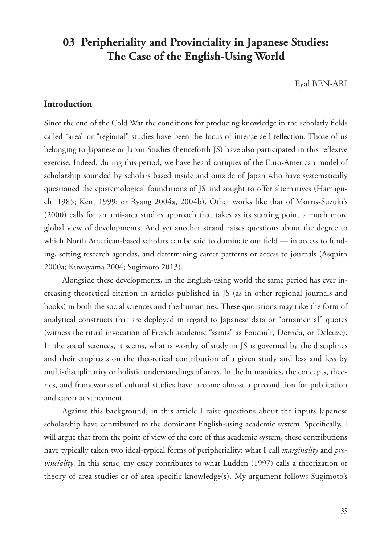# **03 Peripheriality and Provinciality in Japanese Studies: The Case of the English-Using World**

Eyal BEN-ARI

## **Introduction**

Since the end of the Cold War the conditions for producing knowledge in the scholarly fields called "area" or "regional" studies have been the focus of intense self-reflection. Those of us belonging to Japanese or Japan Studies (henceforth JS) have also participated in this reflexive exercise. Indeed, during this period, we have heard critiques of the Euro-American model of scholarship sounded by scholars based inside and outside of Japan who have systematically questioned the epistemological foundations of JS and sought to offer alternatives (Hamaguchi 1985; Kent 1999; or Ryang 2004a, 2004b). Other works like that of Morris-Suzuki's (2000) calls for an anti-area studies approach that takes as its starting point a much more global view of developments. And yet another strand raises questions about the degree to which North American-based scholars can be said to dominate our field — in access to funding, setting research agendas, and determining career patterns or access to journals (Asquith 2000a; Kuwayama 2004; Sugimoto 2013).

Alongside these developments, in the English-using world the same period has ever increasing theoretical citation in articles published in JS (as in other regional journals and books) in both the social sciences and the humanities. These quotations may take the form of analytical constructs that are deployed in regard to Japanese data or "ornamental" quotes (witness the ritual invocation of French academic "saints" as Foucault, Derrida, or Deleuze). In the social sciences, it seems, what is worthy of study in JS is governed by the disciplines and their emphasis on the theoretical contribution of a given study and less and less by multi-disciplinarity or holistic understandings of areas. In the humanities, the concepts, theories, and frameworks of cultural studies have become almost a precondition for publication and career advancement.

Against this background, in this article I raise questions about the inputs Japanese scholarship have contributed to the dominant English-using academic system. Specifically, I will argue that from the point of view of the core of this academic system, these contributions have typically taken two ideal-typical forms of peripheriality: what I call *marginality* and *provinciality*. In this sense, my essay contributes to what Ludden (1997) calls a theorization or theory of area studies or of area-specific knowledge(s). My argument follows Sugimoto's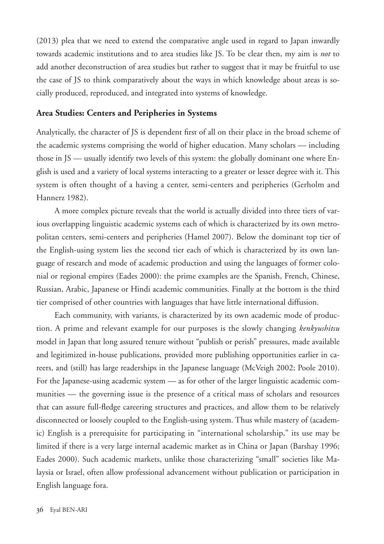(2013) plea that we need to extend the comparative angle used in regard to Japan inwardly towards academic institutions and to area studies like JS. To be clear then, my aim is *not* to add another deconstruction of area studies but rather to suggest that it may be fruitful to use the case of JS to think comparatively about the ways in which knowledge about areas is socially produced, reproduced, and integrated into systems of knowledge.

#### **Area Studies: Centers and Peripheries in Systems**

Analytically, the character of JS is dependent first of all on their place in the broad scheme of the academic systems comprising the world of higher education. Many scholars — including those in JS — usually identify two levels of this system: the globally dominant one where English is used and a variety of local systems interacting to a greater or lesser degree with it. This system is often thought of a having a center, semi-centers and peripheries (Gerholm and Hannerz 1982).

A more complex picture reveals that the world is actually divided into three tiers of various overlapping linguistic academic systems each of which is characterized by its own metropolitan centers, semi-centers and peripheries (Hamel 2007). Below the dominant top tier of the English-using system lies the second tier each of which is characterized by its own language of research and mode of academic production and using the languages of former colonial or regional empires (Eades 2000): the prime examples are the Spanish, French, Chinese, Russian, Arabic, Japanese or Hindi academic communities. Finally at the bottom is the third tier comprised of other countries with languages that have little international diffusion.

Each community, with variants, is characterized by its own academic mode of production. A prime and relevant example for our purposes is the slowly changing *kenkyushitsu* model in Japan that long assured tenure without "publish or perish" pressures, made available and legitimized in-house publications, provided more publishing opportunities earlier in careers, and (still) has large readerships in the Japanese language (McVeigh 2002; Poole 2010). For the Japanese-using academic system — as for other of the larger linguistic academic communities — the governing issue is the presence of a critical mass of scholars and resources that can assure full-fledge careering structures and practices, and allow them to be relatively disconnected or loosely coupled to the English-using system. Thus while mastery of (academic) English is a prerequisite for participating in "international scholarship," its use may be limited if there is a very large internal academic market as in China or Japan (Barshay 1996; Eades 2000). Such academic markets, unlike those characterizing "small" societies like Malaysia or Israel, often allow professional advancement without publication or participation in English language fora.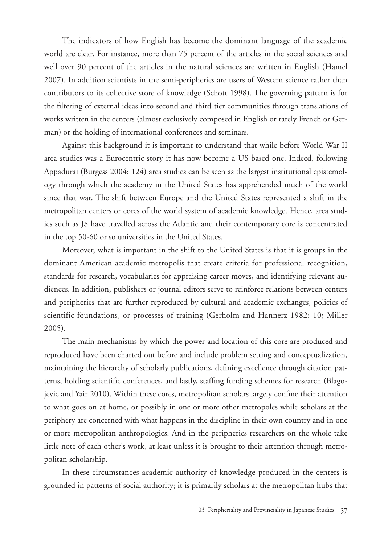The indicators of how English has become the dominant language of the academic world are clear. For instance, more than 75 percent of the articles in the social sciences and well over 90 percent of the articles in the natural sciences are written in English (Hamel 2007). In addition scientists in the semi-peripheries are users of Western science rather than contributors to its collective store of knowledge (Schott 1998). The governing pattern is for the filtering of external ideas into second and third tier communities through translations of works written in the centers (almost exclusively composed in English or rarely French or German) or the holding of international conferences and seminars.

Against this background it is important to understand that while before World War II area studies was a Eurocentric story it has now become a US based one. Indeed, following Appadurai (Burgess 2004: 124) area studies can be seen as the largest institutional epistemology through which the academy in the United States has apprehended much of the world since that war. The shift between Europe and the United States represented a shift in the metropolitan centers or cores of the world system of academic knowledge. Hence, area studies such as JS have travelled across the Atlantic and their contemporary core is concentrated in the top 50-60 or so universities in the United States.

Moreover, what is important in the shift to the United States is that it is groups in the dominant American academic metropolis that create criteria for professional recognition, standards for research, vocabularies for appraising career moves, and identifying relevant audiences. In addition, publishers or journal editors serve to reinforce relations between centers and peripheries that are further reproduced by cultural and academic exchanges, policies of scientific foundations, or processes of training (Gerholm and Hannerz 1982: 10; Miller 2005).

The main mechanisms by which the power and location of this core are produced and reproduced have been charted out before and include problem setting and conceptualization, maintaining the hierarchy of scholarly publications, defining excellence through citation patterns, holding scientific conferences, and lastly, staffing funding schemes for research (Blagojevic and Yair 2010). Within these cores, metropolitan scholars largely confine their attention to what goes on at home, or possibly in one or more other metropoles while scholars at the periphery are concerned with what happens in the discipline in their own country and in one or more metropolitan anthropologies. And in the peripheries researchers on the whole take little note of each other's work, at least unless it is brought to their attention through metropolitan scholarship.

In these circumstances academic authority of knowledge produced in the centers is grounded in patterns of social authority; it is primarily scholars at the metropolitan hubs that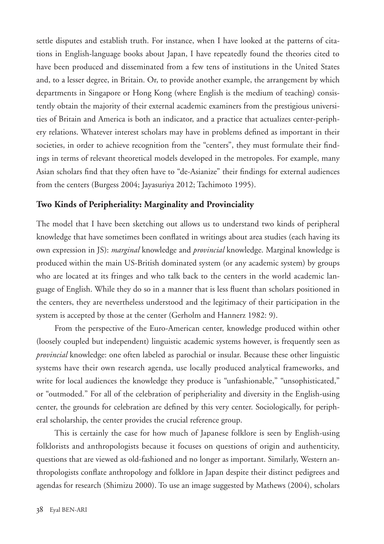settle disputes and establish truth. For instance, when I have looked at the patterns of citations in English-language books about Japan, I have repeatedly found the theories cited to have been produced and disseminated from a few tens of institutions in the United States and, to a lesser degree, in Britain. Or, to provide another example, the arrangement by which departments in Singapore or Hong Kong (where English is the medium of teaching) consistently obtain the majority of their external academic examiners from the prestigious universities of Britain and America is both an indicator, and a practice that actualizes center-periphery relations. Whatever interest scholars may have in problems defined as important in their societies, in order to achieve recognition from the "centers", they must formulate their findings in terms of relevant theoretical models developed in the metropoles. For example, many Asian scholars find that they often have to "de-Asianize" their findings for external audiences from the centers (Burgess 2004; Jayasuriya 2012; Tachimoto 1995).

### **Two Kinds of Peripheriality: Marginality and Provinciality**

The model that I have been sketching out allows us to understand two kinds of peripheral knowledge that have sometimes been conflated in writings about area studies (each having its own expression in JS): *marginal* knowledge and *provincial* knowledge. Marginal knowledge is produced within the main US-British dominated system (or any academic system) by groups who are located at its fringes and who talk back to the centers in the world academic language of English. While they do so in a manner that is less fluent than scholars positioned in the centers, they are nevertheless understood and the legitimacy of their participation in the system is accepted by those at the center (Gerholm and Hannerz 1982: 9).

From the perspective of the Euro-American center, knowledge produced within other (loosely coupled but independent) linguistic academic systems however, is frequently seen as *provincial* knowledge: one often labeled as parochial or insular. Because these other linguistic systems have their own research agenda, use locally produced analytical frameworks, and write for local audiences the knowledge they produce is "unfashionable," "unsophisticated," or "outmoded." For all of the celebration of peripheriality and diversity in the English-using center, the grounds for celebration are defined by this very center. Sociologically, for peripheral scholarship, the center provides the crucial reference group.

This is certainly the case for how much of Japanese folklore is seen by English-using folklorists and anthropologists because it focuses on questions of origin and authenticity, questions that are viewed as old-fashioned and no longer as important. Similarly, Western anthropologists conflate anthropology and folklore in Japan despite their distinct pedigrees and agendas for research (Shimizu 2000). To use an image suggested by Mathews (2004), scholars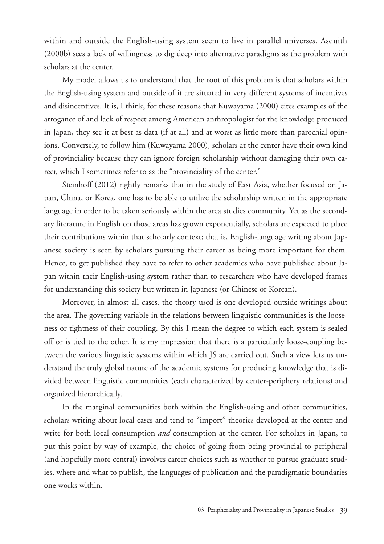within and outside the English-using system seem to live in parallel universes. Asquith (2000b) sees a lack of willingness to dig deep into alternative paradigms as the problem with scholars at the center.

My model allows us to understand that the root of this problem is that scholars within the English-using system and outside of it are situated in very different systems of incentives and disincentives. It is, I think, for these reasons that Kuwayama (2000) cites examples of the arrogance of and lack of respect among American anthropologist for the knowledge produced in Japan, they see it at best as data (if at all) and at worst as little more than parochial opinions. Conversely, to follow him (Kuwayama 2000), scholars at the center have their own kind of provinciality because they can ignore foreign scholarship without damaging their own career, which I sometimes refer to as the "provinciality of the center."

Steinhoff (2012) rightly remarks that in the study of East Asia, whether focused on Japan, China, or Korea, one has to be able to utilize the scholarship written in the appropriate language in order to be taken seriously within the area studies community. Yet as the secondary literature in English on those areas has grown exponentially, scholars are expected to place their contributions within that scholarly context; that is, English-language writing about Japanese society is seen by scholars pursuing their career as being more important for them. Hence, to get published they have to refer to other academics who have published about Japan within their English-using system rather than to researchers who have developed frames for understanding this society but written in Japanese (or Chinese or Korean).

Moreover, in almost all cases, the theory used is one developed outside writings about the area. The governing variable in the relations between linguistic communities is the looseness or tightness of their coupling. By this I mean the degree to which each system is sealed off or is tied to the other. It is my impression that there is a particularly loose-coupling between the various linguistic systems within which JS are carried out. Such a view lets us understand the truly global nature of the academic systems for producing knowledge that is divided between linguistic communities (each characterized by center-periphery relations) and organized hierarchically.

In the marginal communities both within the English-using and other communities, scholars writing about local cases and tend to "import" theories developed at the center and write for both local consumption *and* consumption at the center. For scholars in Japan, to put this point by way of example, the choice of going from being provincial to peripheral (and hopefully more central) involves career choices such as whether to pursue graduate studies, where and what to publish, the languages of publication and the paradigmatic boundaries one works within.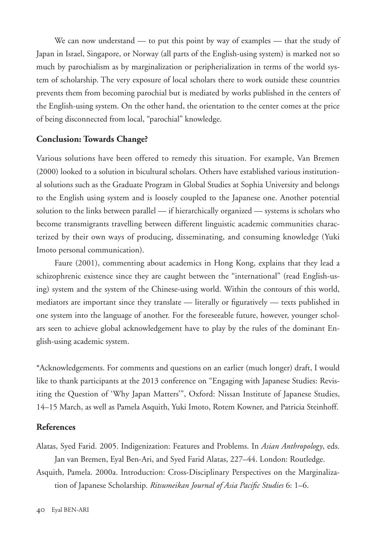We can now understand — to put this point by way of examples — that the study of Japan in Israel, Singapore, or Norway (all parts of the English-using system) is marked not so much by parochialism as by marginalization or peripherialization in terms of the world system of scholarship. The very exposure of local scholars there to work outside these countries prevents them from becoming parochial but is mediated by works published in the centers of the English-using system. On the other hand, the orientation to the center comes at the price of being disconnected from local, "parochial" knowledge.

#### **Conclusion: Towards Change?**

Various solutions have been offered to remedy this situation. For example, Van Bremen (2000) looked to a solution in bicultural scholars. Others have established various institutional solutions such as the Graduate Program in Global Studies at Sophia University and belongs to the English using system and is loosely coupled to the Japanese one. Another potential solution to the links between parallel — if hierarchically organized — systems is scholars who become transmigrants travelling between different linguistic academic communities characterized by their own ways of producing, disseminating, and consuming knowledge (Yuki Imoto personal communication).

Faure (2001), commenting about academics in Hong Kong, explains that they lead a schizophrenic existence since they are caught between the "international" (read English-using) system and the system of the Chinese-using world. Within the contours of this world, mediators are important since they translate — literally or figuratively — texts published in one system into the language of another. For the foreseeable future, however, younger scholars seen to achieve global acknowledgement have to play by the rules of the dominant English-using academic system.

\*Acknowledgements. For comments and questions on an earlier (much longer) draft, I would like to thank participants at the 2013 conference on "Engaging with Japanese Studies: Revisiting the Question of 'Why Japan Matters'", Oxford: Nissan Institute of Japanese Studies, 14–15 March, as well as Pamela Asquith, Yuki Imoto, Rotem Kowner, and Patricia Steinhoff.

### **References**

- Alatas, Syed Farid. 2005. Indigenization: Features and Problems. In *Asian Anthropology*, eds. Jan van Bremen, Eyal Ben-Ari, and Syed Farid Alatas, 227–44. London: Routledge.
- Asquith, Pamela. 2000a. Introduction: Cross-Disciplinary Perspectives on the Marginalization of Japanese Scholarship. *Ritsumeikan Journal of Asia Pacific Studies* 6: 1–6.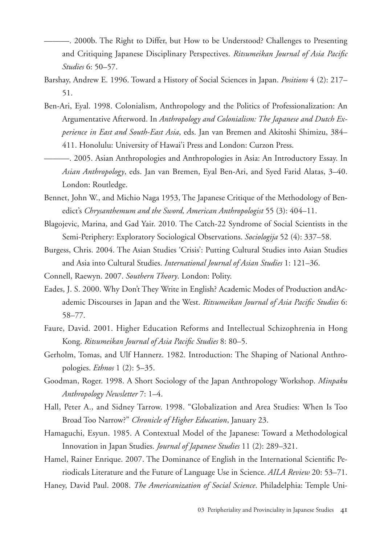———. 2000b. The Right to Differ, but How to be Understood? Challenges to Presenting and Critiquing Japanese Disciplinary Perspectives. *Ritsumeikan Journal of Asia Pacific Studies* 6: 50–57.

- Barshay, Andrew E. 1996. Toward a History of Social Sciences in Japan. *Positions* 4 (2): 217– 51.
- Ben-Ari, Eyal. 1998. Colonialism, Anthropology and the Politics of Professionalization: An Argumentative Afterword. In *Anthropology and Colonialism: The Japanese and Dutch Experience in East and South-East Asia*, eds. Jan van Bremen and Akitoshi Shimizu, 384– 411. Honolulu: University of Hawai'i Press and London: Curzon Press.
- ———. 2005. Asian Anthropologies and Anthropologies in Asia: An Introductory Essay. In *Asian Anthropology*, eds. Jan van Bremen, Eyal Ben-Ari, and Syed Farid Alatas, 3–40. London: Routledge.
- Bennet, John W., and Michio Naga 1953, The Japanese Critique of the Methodology of Benedict's *Chrysanthemum and the Sword, American Anthropologist* 55 (3): 404–11.
- Blagojevic, Marina, and Gad Yair. 2010. The Catch-22 Syndrome of Social Scientists in the Semi-Periphery: Exploratory Sociological Observations. *Sociologija* 52 (4): 337–58.
- Burgess, Chris. 2004. The Asian Studies 'Crisis': Putting Cultural Studies into Asian Studies and Asia into Cultural Studies. *International Journal of Asian Studies* 1: 121–36.
- Connell, Raewyn. 2007. *Southern Theory*. London: Polity.
- Eades, J. S. 2000. Why Don't They Write in English? Academic Modes of Production andAcademic Discourses in Japan and the West. *Ritsumeikan Journal of Asia Pacific Studies* 6: 58–77.
- Faure, David. 2001. Higher Education Reforms and Intellectual Schizophrenia in Hong Kong. *Ritsumeikan Journal of Asia Pacific Studies* 8: 80–5.
- Gerholm, Tomas, and Ulf Hannerz. 1982. Introduction: The Shaping of National Anthropologies. *Ethnos* 1 (2): 5–35.
- Goodman, Roger. 1998. A Short Sociology of the Japan Anthropology Workshop. *Minpaku Anthropology Newsletter* 7: 1–4.
- Hall, Peter A., and Sidney Tarrow. 1998. "Globalization and Area Studies: When Is Too Broad Too Narrow?" *Chronicle of Higher Education*, January 23.
- Hamaguchi, Esyun. 1985. A Contextual Model of the Japanese: Toward a Methodological Innovation in Japan Studies. *Journal of Japanese Studies* 11 (2): 289–321.
- Hamel, Rainer Enrique. 2007. The Dominance of English in the International Scientific Periodicals Literature and the Future of Language Use in Science. *AILA Review* 20: 53–71.
- Haney, David Paul. 2008. *The Americanization of Social Science*. Philadelphia: Temple Uni-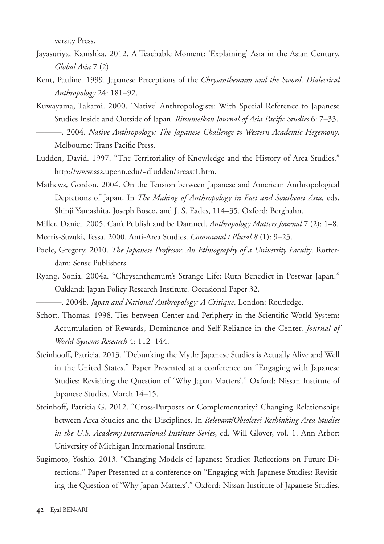versity Press.

- Jayasuriya, Kanishka. 2012. A Teachable Moment: 'Explaining' Asia in the Asian Century. *Global Asia* 7 (2).
- Kent, Pauline. 1999. Japanese Perceptions of the *Chrysanthemum and the Sword*. *Dialectical Anthropology* 24: 181–92.
- Kuwayama, Takami. 2000. 'Native' Anthropologists: With Special Reference to Japanese Studies Inside and Outside of Japan. *Ritsumeikan Journal of Asia Pacific Studies* 6: 7–33. ———. 2004. *Native Anthropology: The Japanese Challenge to Western Academic Hegemony*. Melbourne: Trans Pacific Press.
- Ludden, David. 1997. "The Territoriality of Knowledge and the History of Area Studies." http://www.sas.upenn.edu/~dludden/areast1.htm.
- Mathews, Gordon. 2004. On the Tension between Japanese and American Anthropological Depictions of Japan. In *The Making of Anthropology in East and Southeast Asia,* eds. Shinji Yamashita, Joseph Bosco, and J. S. Eades, 114–35. Oxford: Berghahn.

Miller, Daniel. 2005. Can't Publish and be Damned. *Anthropology Matters Journal* 7 (2): 1–8.

- Morris-Suzuki, Tessa. 2000. Anti-Area Studies. *Communal / Plural 8* (1): 9–23.
- Poole, Gregory. 2010. *The Japanese Professor: An Ethnography of a University Faculty*. Rotterdam: Sense Publishers.
- Ryang, Sonia. 2004a. "Chrysanthemum's Strange Life: Ruth Benedict in Postwar Japan." Oakland: Japan Policy Research Institute. Occasional Paper 32.

———. 2004b. *Japan and National Anthropology: A Critique*. London: Routledge.

- Schott, Thomas. 1998. Ties between Center and Periphery in the Scientific World-System: Accumulation of Rewards, Dominance and Self-Reliance in the Center. *Journal of World-Systems Research* 4: 112–144.
- Steinhooff, Patricia. 2013. "Debunking the Myth: Japanese Studies is Actually Alive and Well in the United States." Paper Presented at a conference on "Engaging with Japanese Studies: Revisiting the Question of 'Why Japan Matters'." Oxford: Nissan Institute of Japanese Studies. March 14–15.
- Steinhoff, Patricia G. 2012. "Cross-Purposes or Complementarity? Changing Relationships between Area Studies and the Disciplines. In *Relevant/Obsolete? Rethinking Area Studies in the U.S. Academy.International Institute Series*, ed. Will Glover, vol. 1. Ann Arbor: University of Michigan International Institute.
- Sugimoto, Yoshio. 2013. "Changing Models of Japanese Studies: Reflections on Future Directions." Paper Presented at a conference on "Engaging with Japanese Studies: Revisiting the Question of 'Why Japan Matters'." Oxford: Nissan Institute of Japanese Studies.